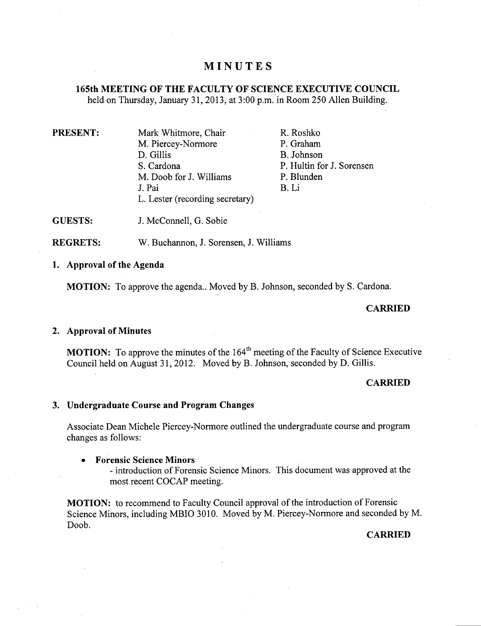# **MINUTES**

# **165th MEETING OF THE FACULTY OF SCIENCE EXECUTIVE COUNCIL**

held on Thursday, January 31, 2013, at 3:00 p.m. in Room 250 Allen Building.

| <b>PRESENT:</b> | Mark Whitmore, Chair            | R. Roshko                 |
|-----------------|---------------------------------|---------------------------|
|                 | M. Piercey-Normore              | P. Graham                 |
|                 | D. Gillis                       | B. Johnson                |
|                 | S. Cardona                      | P. Hultin for J. Sorensen |
|                 | M. Doob for J. Williams         | P. Blunden                |
|                 | J. Pai                          | B. Li                     |
|                 | L. Lester (recording secretary) |                           |

**GUESTS:**  J. McConnell, G. Sobie

**REGRETS:**  W. Buchannon, J. Sorensen, J. Williams

# **Approval of the Agenda**

**MOTION:** To approve the agenda.. Moved by B. Johnson, seconded by S. Cardona.

## $CARRIED$

#### **Approval of Minutes**

**MOTION:** To approve the minutes of the 164<sup>th</sup> meeting of the Faculty of Science Executive Council held on August 31, 2012. Moved by B. Johnson, seconded by D. Gillis.

#### **CARRIED**

#### **Undergraduate Course and Program Changes**

Associate Dean Michele Piercey-Normore outlined the undergraduate course and program changes as follows:

#### **Forensic Science Minors**

- introduction of Forensic Science Minors. This document was approved at the most recent COCAP meeting.

**MOTION:** to recommend to Faculty Council approval of the introduction of Forensic Science Minors, including MBIO 3010. Moved by M. Piercey-Normore and seconded by M. Doob.

#### **CARRIED**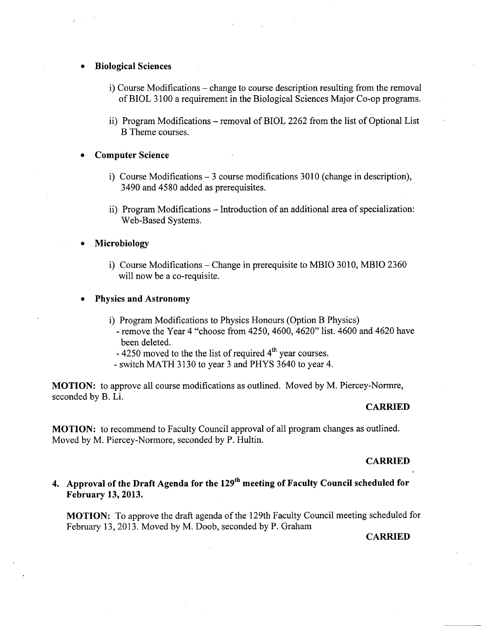#### **Biological Sciences**

- i) Course Modifications change to course description resulting from the removal of BIOL 3100 a requirement in the Biological Sciences Major Co-op programs.
- ii) Program Modifications removal of BIOL 2262 from the list of Optional List B Theme courses.

### **Computer Science**

- i) Course Modifications 3 course modifications 3010 (change in description), 3490 and *4580* added as prerequisites.
- ii) Program Modifications Introduction of an additional area of specialization: Web-Based Systems.

### **Microbiology**

i) Course Modifications – Change in prerequisite to MBIO 3010, MBIO 2360 will now be a co-requisite.

#### **Physics and Astronomy**

- i) Program Modifications to Physics Honours (Option B Physics)
	- remove the Year 4 "choose from 4250, 4600, 4620" list. 4600 and 4620 have been deleted.
	- $-$  4250 moved to the the list of required  $4<sup>th</sup>$  year courses.
	- switch MATH 3130 to year 3 and PHYS 3640 to year 4.

**MOTION:** to approve all course modifications as outlined. Moved by M. Piercey-Normre, seconded by B. Li.

#### **CARRIED**

**MOTION:** to recommend to Faculty Council approval of all program changes as outlined. Moved by M. Piercey-Normore, seconded by P. Hultin.

#### **CARRIED**

# 4. Approval of the Draft Agenda for the 129<sup>th</sup> meeting of Faculty Council scheduled for **February 13, 2013.**

**MOTION:** To approve the draft agenda of the 129th Faculty Council meeting scheduled for February 13, 2013. Moved by M. Doob, seconded by P. Graham

## **CARRIED**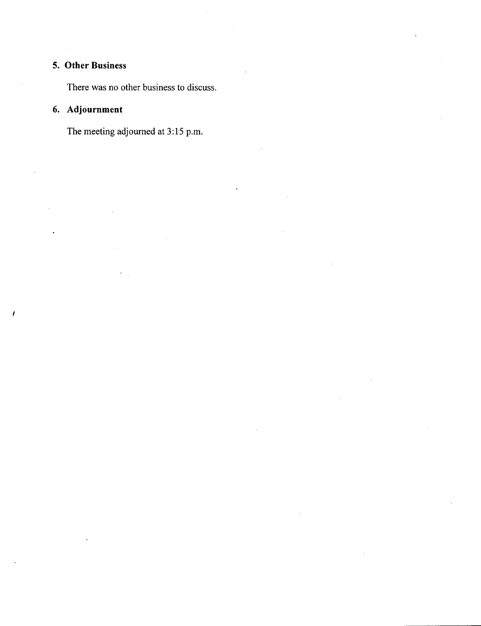# **Other Business**

There was no other business to discuss.

# **Adjournment**

The meeting adjourned at 3:15 p.m.